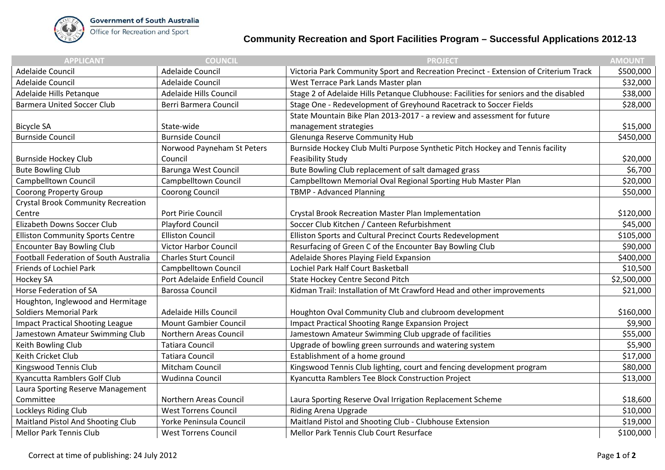

## **Community Recreation and Sport Facilities Program – Successful Applications 2012-13**

| <b>APPLICANT</b>                          | <b>COUNCIL</b>                | <b>PROJECT</b>                                                                        | <b>AMOUNT</b> |
|-------------------------------------------|-------------------------------|---------------------------------------------------------------------------------------|---------------|
| Adelaide Council                          | <b>Adelaide Council</b>       | Victoria Park Community Sport and Recreation Precinct - Extension of Criterium Track  | \$500,000     |
| Adelaide Council                          | <b>Adelaide Council</b>       | West Terrace Park Lands Master plan                                                   | \$32,000      |
| Adelaide Hills Petanque                   | Adelaide Hills Council        | Stage 2 of Adelaide Hills Petanque Clubhouse: Facilities for seniors and the disabled | \$38,000      |
| <b>Barmera United Soccer Club</b>         | Berri Barmera Council         | Stage One - Redevelopment of Greyhound Racetrack to Soccer Fields                     | \$28,000      |
|                                           |                               | State Mountain Bike Plan 2013-2017 - a review and assessment for future               |               |
| <b>Bicycle SA</b>                         | State-wide                    | management strategies                                                                 | \$15,000      |
| <b>Burnside Council</b>                   | <b>Burnside Council</b>       | Glenunga Reserve Community Hub                                                        | \$450,000     |
|                                           | Norwood Payneham St Peters    | Burnside Hockey Club Multi Purpose Synthetic Pitch Hockey and Tennis facility         |               |
| <b>Burnside Hockey Club</b>               | Council                       | <b>Feasibility Study</b>                                                              | \$20,000      |
| <b>Bute Bowling Club</b>                  | Barunga West Council          | Bute Bowling Club replacement of salt damaged grass                                   | \$6,700       |
| Campbelltown Council                      | Campbelltown Council          | Campbelltown Memorial Oval Regional Sporting Hub Master Plan                          | \$20,000      |
| <b>Coorong Property Group</b>             | Coorong Council               | TBMP - Advanced Planning                                                              | \$50,000      |
| <b>Crystal Brook Community Recreation</b> |                               |                                                                                       |               |
| Centre                                    | Port Pirie Council            | Crystal Brook Recreation Master Plan Implementation                                   | \$120,000     |
| Elizabeth Downs Soccer Club               | Playford Council              | Soccer Club Kitchen / Canteen Refurbishment                                           | \$45,000      |
| <b>Elliston Community Sports Centre</b>   | <b>Elliston Council</b>       | Elliston Sports and Cultural Precinct Courts Redevelopment                            | \$105,000     |
| <b>Encounter Bay Bowling Club</b>         | <b>Victor Harbor Council</b>  | Resurfacing of Green C of the Encounter Bay Bowling Club                              | \$90,000      |
| Football Federation of South Australia    | <b>Charles Sturt Council</b>  | Adelaide Shores Playing Field Expansion                                               | \$400,000     |
| Friends of Lochiel Park                   | Campbelltown Council          | Lochiel Park Half Court Basketball                                                    | \$10,500      |
| Hockey SA                                 | Port Adelaide Enfield Council | <b>State Hockey Centre Second Pitch</b>                                               | \$2,500,000   |
| Horse Federation of SA                    | <b>Barossa Council</b>        | Kidman Trail: Installation of Mt Crawford Head and other improvements                 | \$21,000      |
| Houghton, Inglewood and Hermitage         |                               |                                                                                       |               |
| <b>Soldiers Memorial Park</b>             | Adelaide Hills Council        | Houghton Oval Community Club and clubroom development                                 | \$160,000     |
| <b>Impact Practical Shooting League</b>   | <b>Mount Gambier Council</b>  | <b>Impact Practical Shooting Range Expansion Project</b>                              | \$9,900       |
| Jamestown Amateur Swimming Club           | Northern Areas Council        | Jamestown Amateur Swimming Club upgrade of facilities                                 | \$55,000      |
| Keith Bowling Club                        | <b>Tatiara Council</b>        | Upgrade of bowling green surrounds and watering system                                | \$5,900       |
| Keith Cricket Club                        | <b>Tatiara Council</b>        | Establishment of a home ground                                                        | \$17,000      |
| Kingswood Tennis Club                     | Mitcham Council               | Kingswood Tennis Club lighting, court and fencing development program                 | \$80,000      |
| Kyancutta Ramblers Golf Club              | Wudinna Council               | Kyancutta Ramblers Tee Block Construction Project                                     | \$13,000      |
| Laura Sporting Reserve Management         |                               |                                                                                       |               |
| Committee                                 | Northern Areas Council        | Laura Sporting Reserve Oval Irrigation Replacement Scheme                             | \$18,600      |
| Lockleys Riding Club                      | <b>West Torrens Council</b>   | Riding Arena Upgrade                                                                  | \$10,000      |
| Maitland Pistol And Shooting Club         | Yorke Peninsula Council       | Maitland Pistol and Shooting Club - Clubhouse Extension                               | \$19,000      |
| <b>Mellor Park Tennis Club</b>            | <b>West Torrens Council</b>   | Mellor Park Tennis Club Court Resurface                                               | \$100,000     |